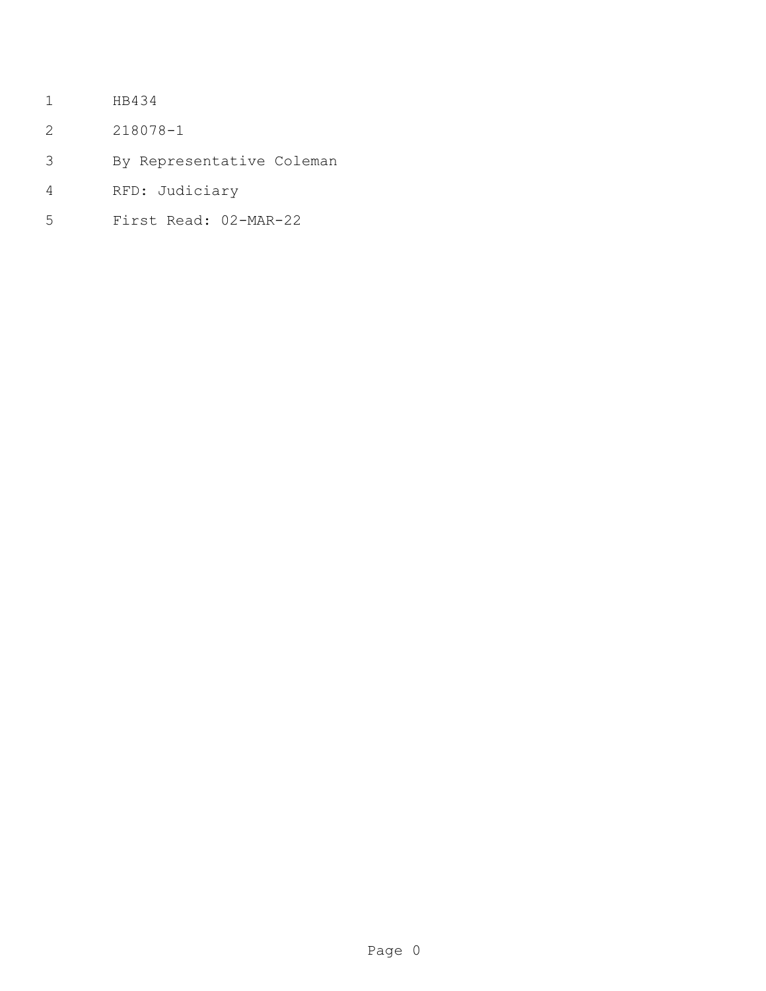- HB434
- 218078-1
- By Representative Coleman
- RFD: Judiciary
- First Read: 02-MAR-22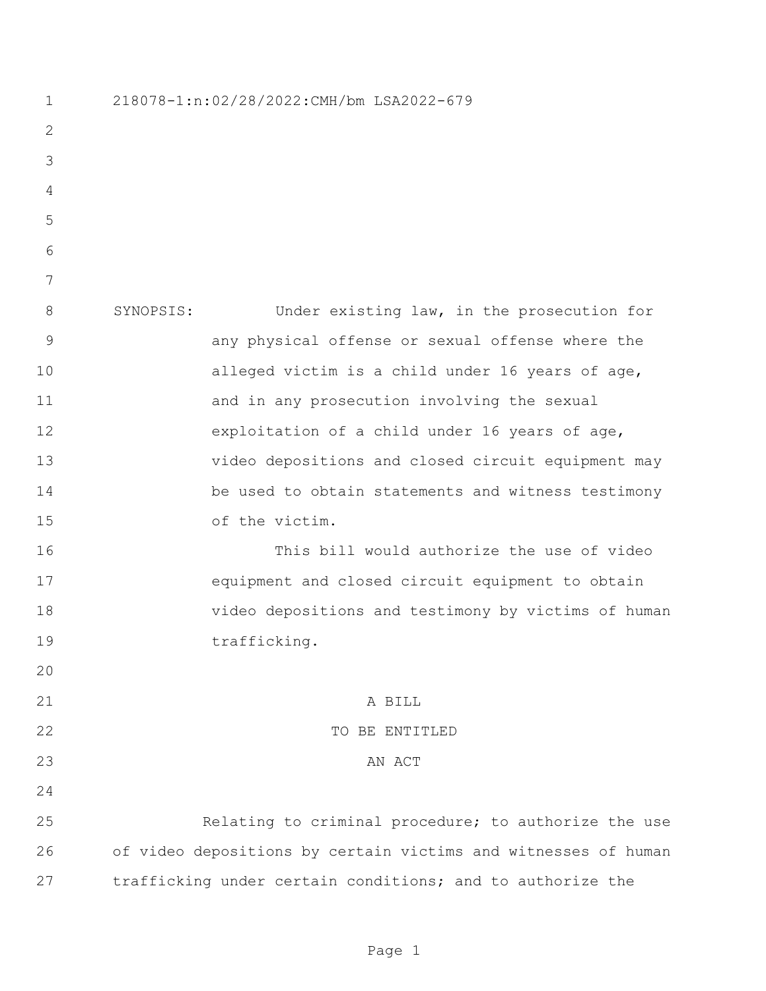218078-1:n:02/28/2022:CMH/bm LSA2022-679 SYNOPSIS: Under existing law, in the prosecution for any physical offense or sexual offense where the alleged victim is a child under 16 years of age, and in any prosecution involving the sexual exploitation of a child under 16 years of age, video depositions and closed circuit equipment may be used to obtain statements and witness testimony of the victim. This bill would authorize the use of video equipment and closed circuit equipment to obtain video depositions and testimony by victims of human 19 trafficking. 21 A BILL 22 TO BE ENTITLED 23 AN ACT Relating to criminal procedure; to authorize the use of video depositions by certain victims and witnesses of human trafficking under certain conditions; and to authorize the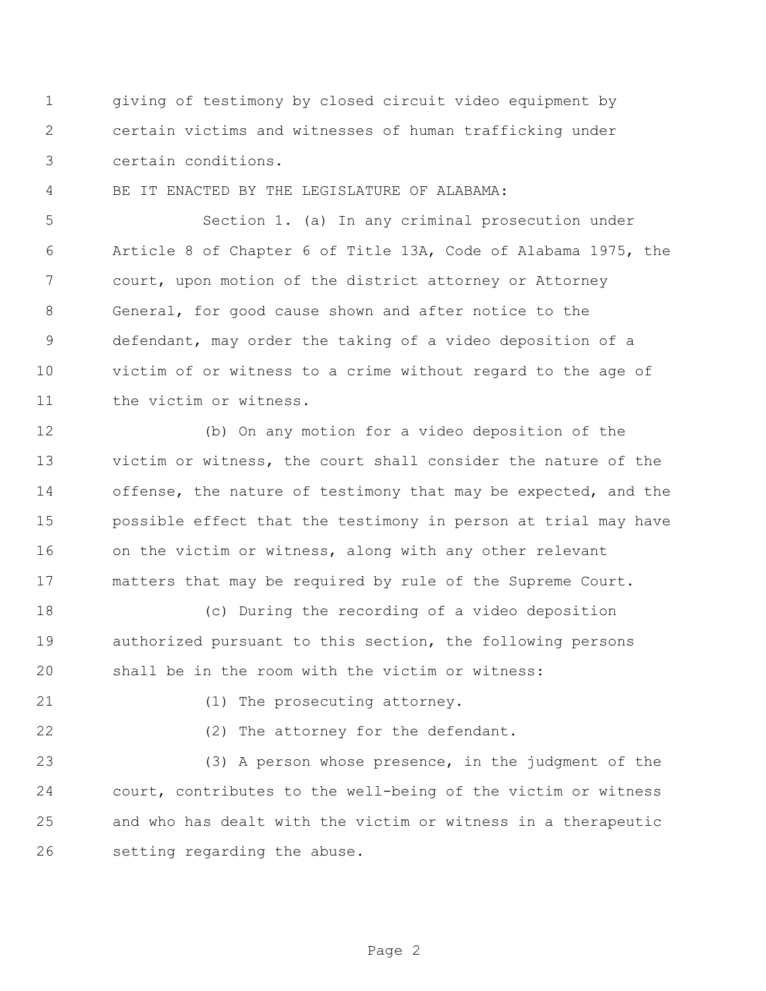giving of testimony by closed circuit video equipment by certain victims and witnesses of human trafficking under certain conditions.

BE IT ENACTED BY THE LEGISLATURE OF ALABAMA:

 Section 1. (a) In any criminal prosecution under Article 8 of Chapter 6 of Title 13A, Code of Alabama 1975, the court, upon motion of the district attorney or Attorney General, for good cause shown and after notice to the defendant, may order the taking of a video deposition of a victim of or witness to a crime without regard to the age of the victim or witness.

 (b) On any motion for a video deposition of the victim or witness, the court shall consider the nature of the 14 offense, the nature of testimony that may be expected, and the possible effect that the testimony in person at trial may have on the victim or witness, along with any other relevant matters that may be required by rule of the Supreme Court.

 (c) During the recording of a video deposition authorized pursuant to this section, the following persons shall be in the room with the victim or witness:

21 (1) The prosecuting attorney.

22 (2) The attorney for the defendant.

 (3) A person whose presence, in the judgment of the court, contributes to the well-being of the victim or witness and who has dealt with the victim or witness in a therapeutic setting regarding the abuse.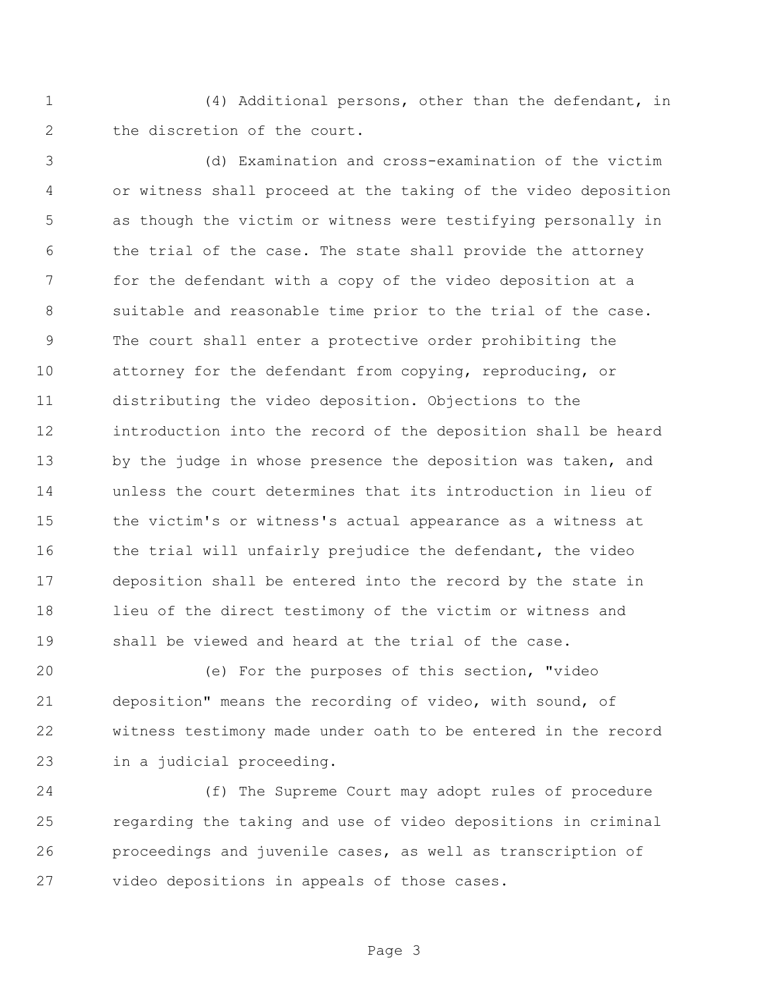(4) Additional persons, other than the defendant, in the discretion of the court.

 (d) Examination and cross-examination of the victim or witness shall proceed at the taking of the video deposition as though the victim or witness were testifying personally in the trial of the case. The state shall provide the attorney for the defendant with a copy of the video deposition at a suitable and reasonable time prior to the trial of the case. The court shall enter a protective order prohibiting the attorney for the defendant from copying, reproducing, or distributing the video deposition. Objections to the introduction into the record of the deposition shall be heard 13 by the judge in whose presence the deposition was taken, and unless the court determines that its introduction in lieu of the victim's or witness's actual appearance as a witness at 16 the trial will unfairly prejudice the defendant, the video deposition shall be entered into the record by the state in lieu of the direct testimony of the victim or witness and shall be viewed and heard at the trial of the case.

 (e) For the purposes of this section, "video deposition" means the recording of video, with sound, of witness testimony made under oath to be entered in the record in a judicial proceeding.

 (f) The Supreme Court may adopt rules of procedure regarding the taking and use of video depositions in criminal proceedings and juvenile cases, as well as transcription of video depositions in appeals of those cases.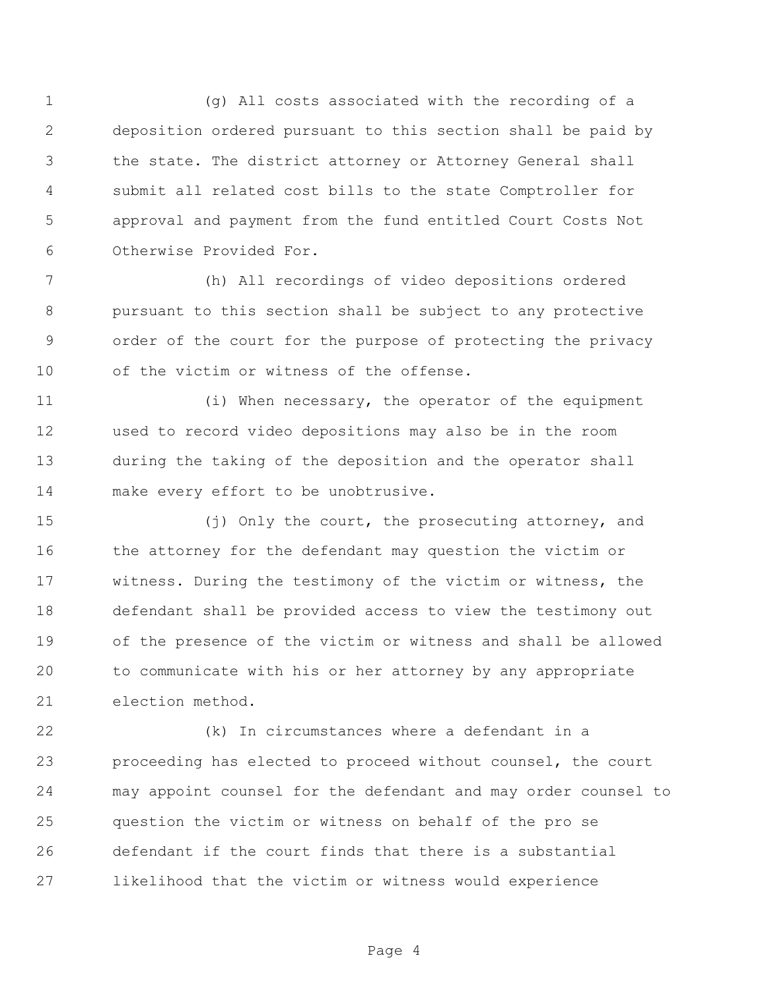(g) All costs associated with the recording of a deposition ordered pursuant to this section shall be paid by the state. The district attorney or Attorney General shall submit all related cost bills to the state Comptroller for approval and payment from the fund entitled Court Costs Not Otherwise Provided For.

 (h) All recordings of video depositions ordered pursuant to this section shall be subject to any protective order of the court for the purpose of protecting the privacy 10 of the victim or witness of the offense.

 (i) When necessary, the operator of the equipment used to record video depositions may also be in the room during the taking of the deposition and the operator shall make every effort to be unobtrusive.

 (j) Only the court, the prosecuting attorney, and the attorney for the defendant may question the victim or witness. During the testimony of the victim or witness, the defendant shall be provided access to view the testimony out of the presence of the victim or witness and shall be allowed to communicate with his or her attorney by any appropriate election method.

 (k) In circumstances where a defendant in a proceeding has elected to proceed without counsel, the court may appoint counsel for the defendant and may order counsel to question the victim or witness on behalf of the pro se defendant if the court finds that there is a substantial likelihood that the victim or witness would experience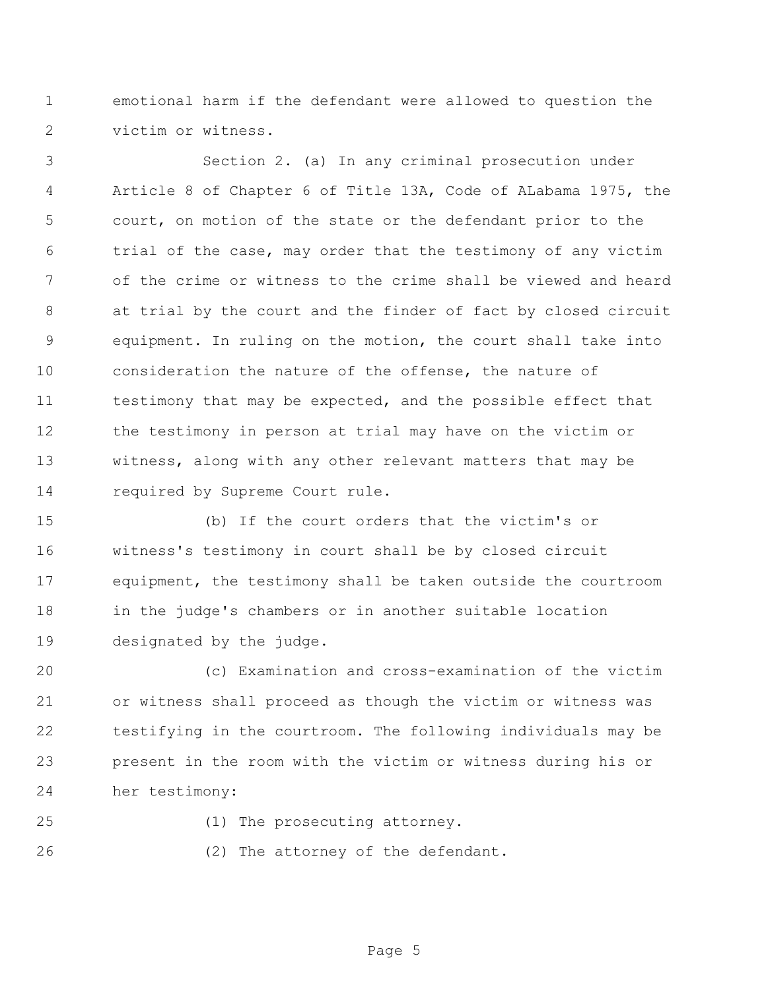emotional harm if the defendant were allowed to question the victim or witness.

 Section 2. (a) In any criminal prosecution under Article 8 of Chapter 6 of Title 13A, Code of ALabama 1975, the court, on motion of the state or the defendant prior to the trial of the case, may order that the testimony of any victim of the crime or witness to the crime shall be viewed and heard at trial by the court and the finder of fact by closed circuit equipment. In ruling on the motion, the court shall take into consideration the nature of the offense, the nature of 11 testimony that may be expected, and the possible effect that the testimony in person at trial may have on the victim or witness, along with any other relevant matters that may be required by Supreme Court rule.

 (b) If the court orders that the victim's or witness's testimony in court shall be by closed circuit equipment, the testimony shall be taken outside the courtroom in the judge's chambers or in another suitable location designated by the judge.

 (c) Examination and cross-examination of the victim or witness shall proceed as though the victim or witness was testifying in the courtroom. The following individuals may be present in the room with the victim or witness during his or her testimony:

(1) The prosecuting attorney.

26 (2) The attorney of the defendant.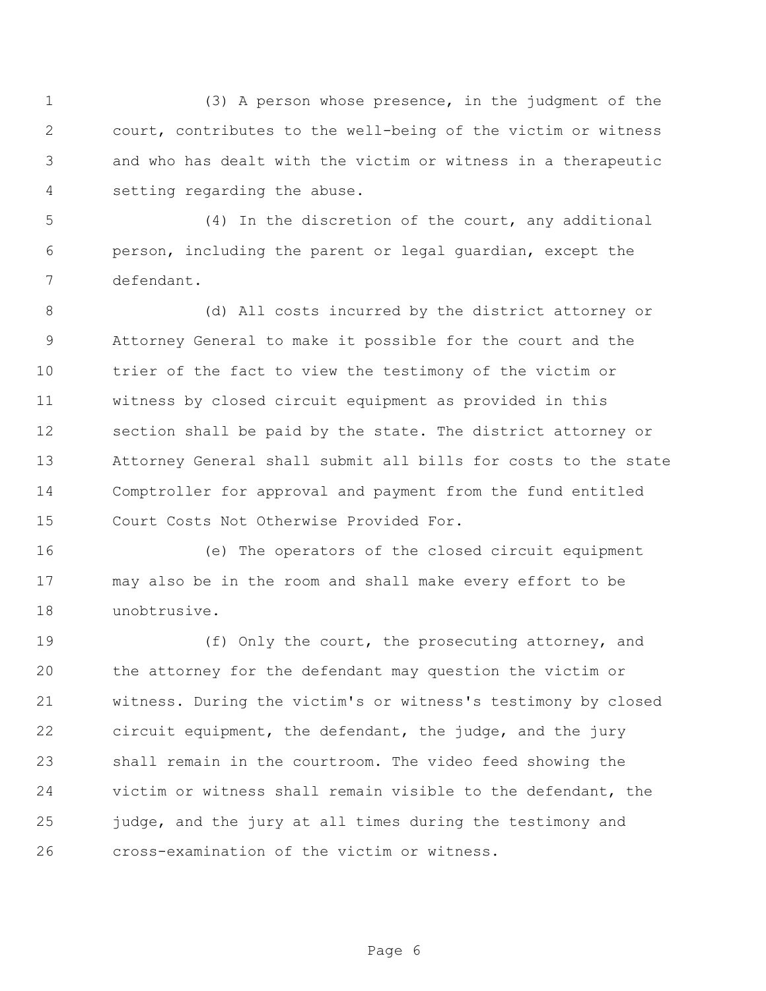(3) A person whose presence, in the judgment of the court, contributes to the well-being of the victim or witness and who has dealt with the victim or witness in a therapeutic setting regarding the abuse.

 (4) In the discretion of the court, any additional person, including the parent or legal guardian, except the defendant.

 (d) All costs incurred by the district attorney or Attorney General to make it possible for the court and the trier of the fact to view the testimony of the victim or witness by closed circuit equipment as provided in this section shall be paid by the state. The district attorney or Attorney General shall submit all bills for costs to the state Comptroller for approval and payment from the fund entitled Court Costs Not Otherwise Provided For.

 (e) The operators of the closed circuit equipment may also be in the room and shall make every effort to be unobtrusive.

 (f) Only the court, the prosecuting attorney, and the attorney for the defendant may question the victim or witness. During the victim's or witness's testimony by closed circuit equipment, the defendant, the judge, and the jury shall remain in the courtroom. The video feed showing the victim or witness shall remain visible to the defendant, the judge, and the jury at all times during the testimony and cross-examination of the victim or witness.

Page 6